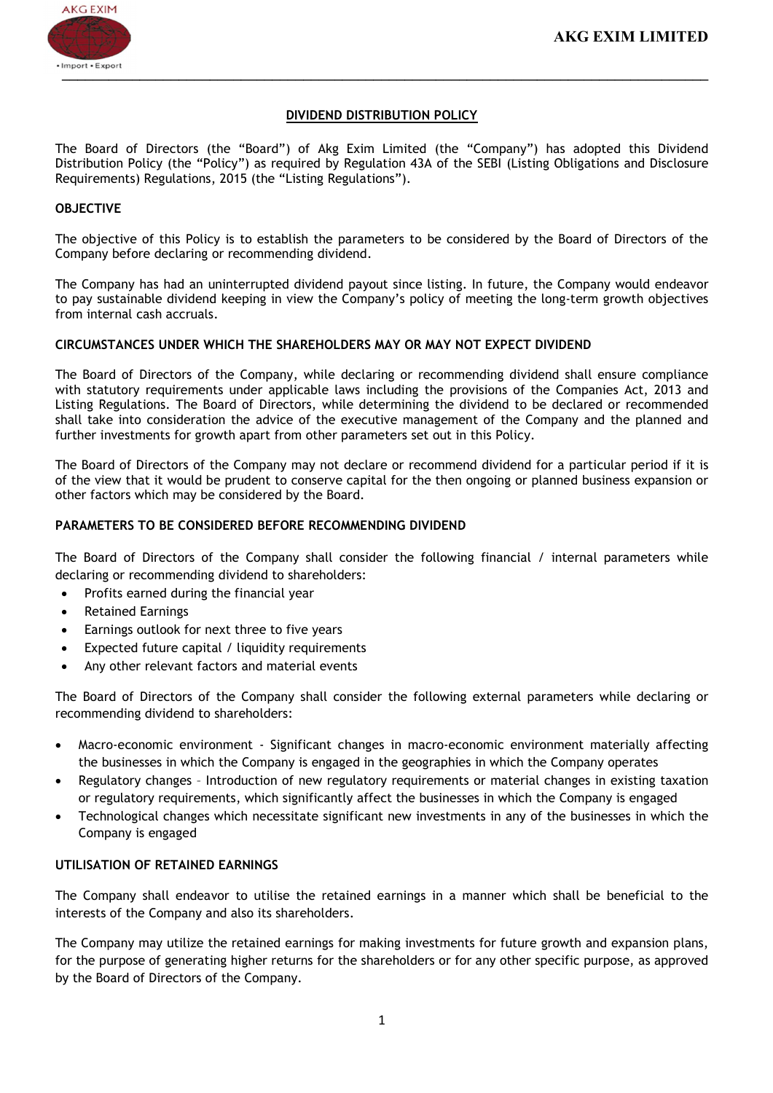# DIVIDEND DISTRIBUTION POLICY

The Board of Directors (the "Board") of Akg Exim Limited (the "Company") has adopted this Dividend Distribution Policy (the "Policy") as required by Regulation 43A of the SEBI (Listing Obligations and Disclosure Requirements) Regulations, 2015 (the "Listing Regulations").

# OBJECTIVE

The objective of this Policy is to establish the parameters to be considered by the Board of Directors of the Company before declaring or recommending dividend.

The Company has had an uninterrupted dividend payout since listing. In future, the Company would endeavor to pay sustainable dividend keeping in view the Company's policy of meeting the long-term growth objectives from internal cash accruals.

### CIRCUMSTANCES UNDER WHICH THE SHAREHOLDERS MAY OR MAY NOT EXPECT DIVIDEND

The Board of Directors of the Company, while declaring or recommending dividend shall ensure compliance with statutory requirements under applicable laws including the provisions of the Companies Act, 2013 and Listing Regulations. The Board of Directors, while determining the dividend to be declared or recommended shall take into consideration the advice of the executive management of the Company and the planned and further investments for growth apart from other parameters set out in this Policy.

The Board of Directors of the Company may not declare or recommend dividend for a particular period if it is of the view that it would be prudent to conserve capital for the then ongoing or planned business expansion or other factors which may be considered by the Board.

### PARAMETERS TO BE CONSIDERED BEFORE RECOMMENDING DIVIDEND

The Board of Directors of the Company shall consider the following financial / internal parameters while declaring or recommending dividend to shareholders:

- Profits earned during the financial year
- Retained Earnings
- Earnings outlook for next three to five years
- Expected future capital / liquidity requirements
- Any other relevant factors and material events

The Board of Directors of the Company shall consider the following external parameters while declaring or recommending dividend to shareholders:

- Macro-economic environment Significant changes in macro-economic environment materially affecting the businesses in which the Company is engaged in the geographies in which the Company operates
- Regulatory changes Introduction of new regulatory requirements or material changes in existing taxation or regulatory requirements, which significantly affect the businesses in which the Company is engaged
- Technological changes which necessitate significant new investments in any of the businesses in which the Company is engaged

#### UTILISATION OF RETAINED EARNINGS

The Company shall endeavor to utilise the retained earnings in a manner which shall be beneficial to the interests of the Company and also its shareholders.

The Company may utilize the retained earnings for making investments for future growth and expansion plans, for the purpose of generating higher returns for the shareholders or for any other specific purpose, as approved by the Board of Directors of the Company.